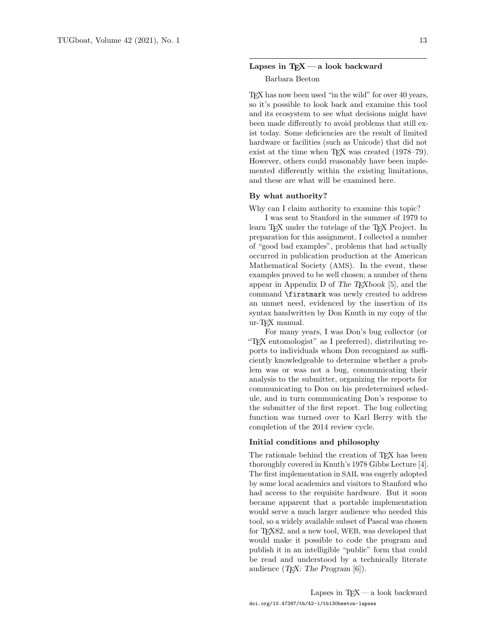# Lapses in  $T_FX$  — a look backward

#### Barbara Beeton

TEX has now been used "in the wild" for over 40 years, so it's possible to look back and examine this tool and its ecosystem to see what decisions might have been made differently to avoid problems that still exist today. Some deficiencies are the result of limited hardware or facilities (such as Unicode) that did not exist at the time when TFX was created (1978–79). However, others could reasonably have been implemented differently within the existing limitations, and these are what will be examined here.

# By what authority?

Why can I claim authority to examine this topic?

I was sent to Stanford in the summer of 1979 to learn TEX under the tutelage of the TEX Project. In preparation for this assignment, I collected a number of "good bad examples", problems that had actually occurred in publication production at the American Mathematical Society (AMS). In the event, these examples proved to be well chosen; a number of them appear in Appendix D of The  $T_F X book$  [5], and the command \firstmark was newly created to address an unmet need, evidenced by the insertion of its syntax handwritten by Don Knuth in my copy of the ur-TEX manual.

For many years, I was Don's bug collector (or "TEX entomologist" as I preferred), distributing reports to individuals whom Don recognized as sufficiently knowledgeable to determine whether a problem was or was not a bug, communicating their analysis to the submitter, organizing the reports for communicating to Don on his predetermined schedule, and in turn communicating Don's response to the submitter of the first report. The bug collecting function was turned over to Karl Berry with the completion of the 2014 review cycle.

### Initial conditions and philosophy

The rationale behind the creation of TEX has been thoroughly covered in Knuth's 1978 Gibbs Lecture [4]. The first implementation in SAIL was eagerly adopted by some local academics and visitors to Stanford who had access to the requisite hardware. But it soon became apparent that a portable implementation would serve a much larger audience who needed this tool, so a widely available subset of Pascal was chosen for T<sub>F</sub>X82, and a new tool, WEB, was developed that would make it possible to code the program and publish it in an intelligible "public" form that could be read and understood by a technically literate audience  $(T_{E}X:$  The Program  $[6]$ ).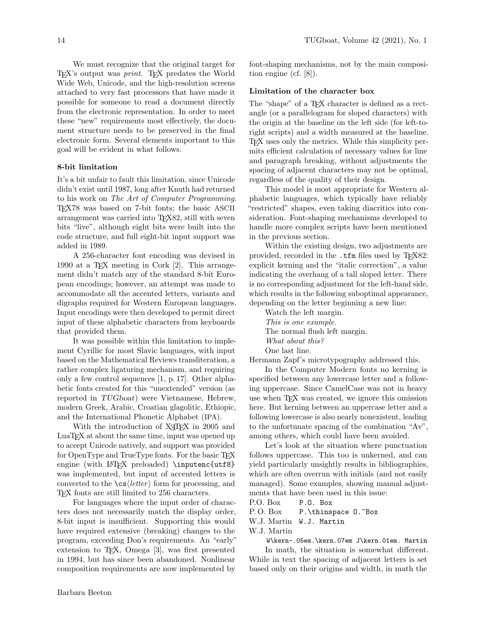We must recognize that the original target for TEX's output was print. TEX predates the World Wide Web, Unicode, and the high-resolution screens attached to very fast processors that have made it possible for someone to read a document directly from the electronic representation. In order to meet these "new" requirements most effectively, the document structure needs to be preserved in the final electronic form. Several elements important to this goal will be evident in what follows.

#### 8-bit limitation

It's a bit unfair to fault this limitation, since Unicode didn't exist until 1987, long after Knuth had returned to his work on The Art of Computer Programming. TEX78 was based on 7-bit fonts; the basic ASCII arrangement was carried into TEX82, still with seven bits "live", although eight bits were built into the code structure, and full eight-bit input support was added in 1989.

A 256-character font encoding was devised in 1990 at a T<sub>E</sub>X meeting in Cork  $[2]$ . This arrangement didn't match any of the standard 8-bit European encodings; however, an attempt was made to accommodate all the accented letters, variants and digraphs required for Western European languages. Input encodings were then developed to permit direct input of these alphabetic characters from keyboards that provided them.

It was possible within this limitation to implement Cyrillic for most Slavic languages, with input based on the Mathematical Reviews transliteration, a rather complex ligaturing mechanism, and requiring only a few control sequences [1, p. 17]. Other alphabetic fonts created for this "unextended" version (as reported in TUGboat) were Vietnamese, Hebrew, modern Greek, Arabic, Croatian glagolitic, Ethiopic, and the International Phonetic Alphabet (IPA).

With the introduction of X<sub>T</sub>T<sub>F</sub>X in 2005 and LuaTEX at about the same time, input was opened up to accept Unicode natively, and support was provided for OpenType and TrueType fonts. For the basic T<sub>E</sub>X engine (with LATEX preloaded) \inputenc{utf8} was implemented, but input of accented letters is converted to the  $\csc\left(\text{letter}\right)$  form for processing, and TEX fonts are still limited to 256 characters.

For languages where the input order of characters does not necessarily match the display order, 8-bit input is insufficient. Supporting this would have required extensive (breaking) changes to the program, exceeding Don's requirements. An "early" extension to TEX, Omega [3], was first presented in 1994, but has since been abandoned. Nonlinear composition requirements are now implemented by

font-shaping mechanisms, not by the main composition engine (cf. [8]).

#### Limitation of the character box

The "shape" of a T<sub>F</sub>X character is defined as a rectangle (or a parallelogram for sloped characters) with the origin at the baseline on the left side (for left-toright scripts) and a width measured at the baseline. TEX uses only the metrics. While this simplicity permits efficient calculation of necessary values for line and paragraph breaking, without adjustments the spacing of adjacent characters may not be optimal, regardless of the quality of their design.

This model is most appropriate for Western alphabetic languages, which typically have reliably "restricted" shapes, even taking diacritics into consideration. Font-shaping mechanisms developed to handle more complex scripts have been mentioned in the previous section.

Within the existing design, two adjustments are provided, recorded in the .tfm files used by T<sub>F</sub>X82: explicit kerning and the "italic correction", a value indicating the overhang of a tall sloped letter. There is no corresponding adjustment for the left-hand side, which results in the following suboptimal appearance, depending on the letter beginning a new line:

Watch the left margin. This is one example. The normal flush left margin. What about this? One last line.

Hermann Zapf's microtypography addressed this.

In the Computer Modern fonts no kerning is specified between any lowercase letter and a following uppercase. Since CamelCase was not in heavy use when T<sub>F</sub>X was created, we ignore this omission here. But kerning between an uppercase letter and a following lowercase is also nearly nonexistent, leading to the unfortunate spacing of the combination "Av", among others, which could have been avoided.

Let's look at the situation where punctuation follows uppercase. This too is unkerned, and can yield particularly unsightly results in bibliographies, which are often overrun with initials (and not easily managed). Some examples, showing manual adjustments that have been used in this issue:

P.O. Box P.O. Box

P.O. Box P.\thinspace O.~Box

W.J. Martin W.J. Martin

W.J. Martin

W\kern-.05em.\kern.07em J\kern.01em. Martin In math, the situation is somewhat different. While in text the spacing of adjacent letters is set based only on their origins and width, in math the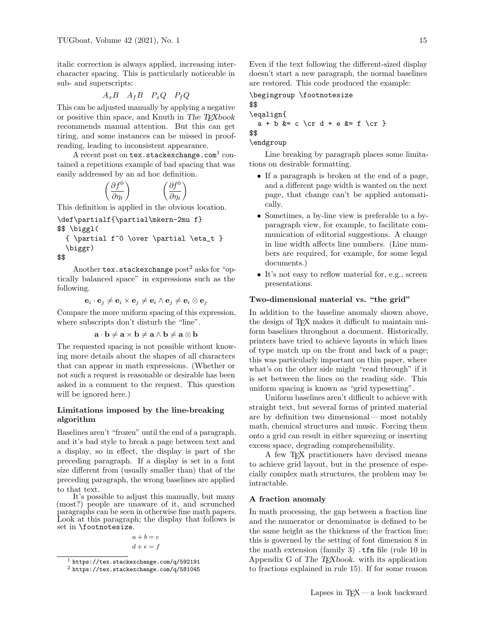italic correction is always applied, increasing intercharacter spacing. This is particularly noticeable in sub- and superscripts:

$$
A_x B \quad A_f B \quad P_x Q \quad P_f Q
$$

This can be adjusted manually by applying a negative or positive thin space, and Knuth in The TEXbook recommends manual attention. But this can get tiring, and some instances can be missed in proofreading, leading to inconsistent appearance.

 $\rm A$  recent post on  $\tt text.stackexchange.com^1$  contained a repetitious example of bad spacing that was easily addressed by an ad hoc definition.

$$
\left(\frac{\partial f^0}{\partial \eta_t}\right) \qquad \qquad \left(\frac{\partial f^0}{\partial \eta_t}\right)
$$

This definition is applied in the obvious location.

\def\partialf{\partial\mkern-2mu f}

- \$\$ \biggl(
- $\{\partial f^0 \over \partial \eta_t \}$ \biggr)

\$\$

Another tex.stackexchange  $post<sup>2</sup>$  asks for "optically balanced space" in expressions such as the following.

 $\mathbf{e}_i \cdot \mathbf{e}_j \neq \mathbf{e}_i \times \mathbf{e}_j \neq \mathbf{e}_i \wedge \mathbf{e}_j \neq \mathbf{e}_i \otimes \mathbf{e}_j$ 

Compare the more uniform spacing of this expression, where subscripts don't disturb the "line".

$$
\mathbf{a} \cdot \mathbf{b} \neq \mathbf{a} \times \mathbf{b} \neq \mathbf{a} \wedge \mathbf{b} \neq \mathbf{a} \otimes \mathbf{b}
$$

The requested spacing is not possible without knowing more details about the shapes of all characters that can appear in math expressions. (Whether or not such a request is reasonable or desirable has been asked in a comment to the request. This question will be ignored here.)

# Limitations imposed by the line-breaking algorithm

Baselines aren't "frozen" until the end of a paragraph, and it's bad style to break a page between text and a display, so in effect, the display is part of the preceding paragraph. If a display is set in a font size different from (usually smaller than) that of the preceding paragraph, the wrong baselines are applied to that text.

It's possible to adjust this manually, but many (most?) people are unaware of it, and scrunched paragraphs can be seen in otherwise fine math papers. Look at this paragraph; the display that follows is set in \footnotesize.

$$
a + b = c
$$

$$
d + e = f
$$

Even if the text following the different-sized display doesn't start a new paragraph, the normal baselines are restored. This code produced the example:

\begingroup \footnotesize

\$\$ \eqalign{  $a + b$  &= c \cr d + e &= f \cr } \$\$ \endgroup

Line breaking by paragraph places some limitations on desirable formatting.

- If a paragraph is broken at the end of a page, and a different page width is wanted on the next page, that change can't be applied automatically.
- Sometimes, a by-line view is preferable to a byparagraph view, for example, to facilitate communication of editorial suggestions. A change in line width affects line numbers. (Line numbers are required, for example, for some legal documents.)
- It's not easy to reflow material for, e.g., screen presentations.

#### Two-dimensional material vs. "the grid"

In addition to the baseline anomaly shown above, the design of TEX makes it difficult to maintain uniform baselines throughout a document. Historically, printers have tried to achieve layouts in which lines of type match up on the front and back of a page; this was particularly important on thin paper, where what's on the other side might "read through" if it is set between the lines on the reading side. This uniform spacing is known as "grid typesetting".

Uniform baselines aren't difficult to achieve with straight text, but several forms of printed material are by definition two dimensional— most notably math, chemical structures and music. Forcing them onto a grid can result in either squeezing or inserting excess space, degrading comprehensibility.

A few TEX practitioners have devised means to achieve grid layout, but in the presence of especially complex math structures, the problem may be intractable.

#### A fraction anomaly

In math processing, the gap between a fraction line and the numerator or denominator is defined to be the same height as the thickness of the fraction line; this is governed by the setting of font dimension 8 in the math extension (family  $3$ ) .tfm file (rule 10 in Appendix G of The T<sub>E</sub>Xbook. with its application to fractions explained in rule 15). If for some reason

 $1$  https://tex.stackexchange.com/q/592191

<sup>2</sup> https://tex.stackexchange.com/q/581045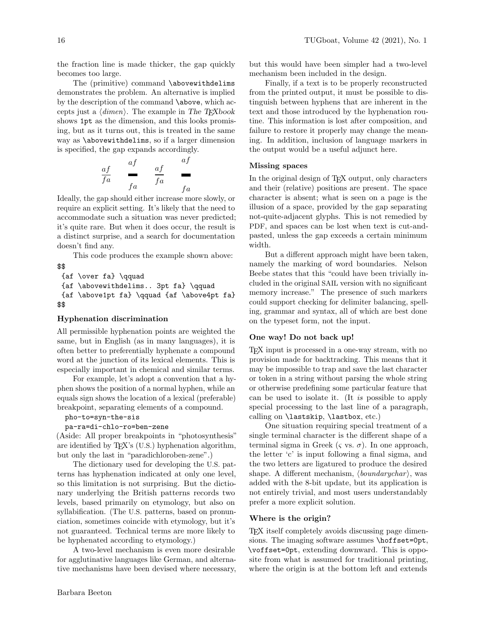the fraction line is made thicker, the gap quickly becomes too large.

The (primitive) command \abovewithdelims demonstrates the problem. An alternative is implied by the description of the command \above, which accepts just a  $\langle$  dimen $\rangle$ . The example in The T<sub>E</sub>Xbook shows 1pt as the dimension, and this looks promising, but as it turns out, this is treated in the same way as \abovewithdelims, so if a larger dimension is specified, the gap expands accordingly.

$$
\begin{array}{ccccc}\n\frac{af}{fa} & \frac{af}{fa} & \frac{af}{fa} & \frac{af}{fa}\n\end{array}
$$

Ideally, the gap should either increase more slowly, or require an explicit setting. It's likely that the need to accommodate such a situation was never predicted; it's quite rare. But when it does occur, the result is a distinct surprise, and a search for documentation doesn't find any.

This code produces the example shown above:

```
$$
 \{af \over fa\} \qquad{af \abovewithdelims.. 3pt fa} \qquad
 {af \above1pt fa} \qquad {af \above4pt fa}
$$
```
### Hyphenation discrimination

All permissible hyphenation points are weighted the same, but in English (as in many languages), it is often better to preferentially hyphenate a compound word at the junction of its lexical elements. This is especially important in chemical and similar terms.

For example, let's adopt a convention that a hyphen shows the position of a normal hyphen, while an equals sign shows the location of a lexical (preferable) breakpoint, separating elements of a compound.

### pho-to=syn-the-sis

```
pa-ra=di-chlo-ro=ben-zene
```
(Aside: All proper breakpoints in "photosynthesis" are identified by T<sub>E</sub>X's (U.S.) hyphenation algorithm, but only the last in "paradichloroben-zene".)

The dictionary used for developing the U.S. patterns has hyphenation indicated at only one level, so this limitation is not surprising. But the dictionary underlying the British patterns records two levels, based primarily on etymology, but also on syllabification. (The U.S. patterns, based on pronunciation, sometimes coincide with etymology, but it's not guaranteed. Technical terms are more likely to be hyphenated according to etymology.)

A two-level mechanism is even more desirable for agglutinative languages like German, and alternative mechanisms have been devised where necessary, but this would have been simpler had a two-level mechanism been included in the design.

Finally, if a text is to be properly reconstructed from the printed output, it must be possible to distinguish between hyphens that are inherent in the text and those introduced by the hyphenation routine. This information is lost after composition, and failure to restore it properly may change the meaning. In addition, inclusion of language markers in the output would be a useful adjunct here.

### Missing spaces

In the original design of TEX output, only characters and their (relative) positions are present. The space character is absent; what is seen on a page is the illusion of a space, provided by the gap separating not-quite-adjacent glyphs. This is not remedied by PDF, and spaces can be lost when text is cut-andpasted, unless the gap exceeds a certain minimum width.

But a different approach might have been taken, namely the marking of word boundaries. Nelson Beebe states that this "could have been trivially included in the original SAIL version with no significant memory increase." The presence of such markers could support checking for delimiter balancing, spelling, grammar and syntax, all of which are best done on the typeset form, not the input.

## One way! Do not back up!

TEX input is processed in a one-way stream, with no provision made for backtracking. This means that it may be impossible to trap and save the last character or token in a string without parsing the whole string or otherwise predefining some particular feature that can be used to isolate it. (It is possible to apply special processing to the last line of a paragraph, calling on \lastskip, \lastbox, etc.)

One situation requiring special treatment of a single terminal character is the different shape of a terminal sigma in Greek ( $\zeta$  vs.  $\sigma$ ). In one approach, the letter 'c' is input following a final sigma, and the two letters are ligatured to produce the desired shape. A different mechanism,  $\langle boundarychar \rangle$ , was added with the 8-bit update, but its application is not entirely trivial, and most users understandably prefer a more explicit solution.

### Where is the origin?

TEX itself completely avoids discussing page dimensions. The imaging software assumes \hoffset=0pt, \voffset=0pt, extending downward. This is opposite from what is assumed for traditional printing, where the origin is at the bottom left and extends